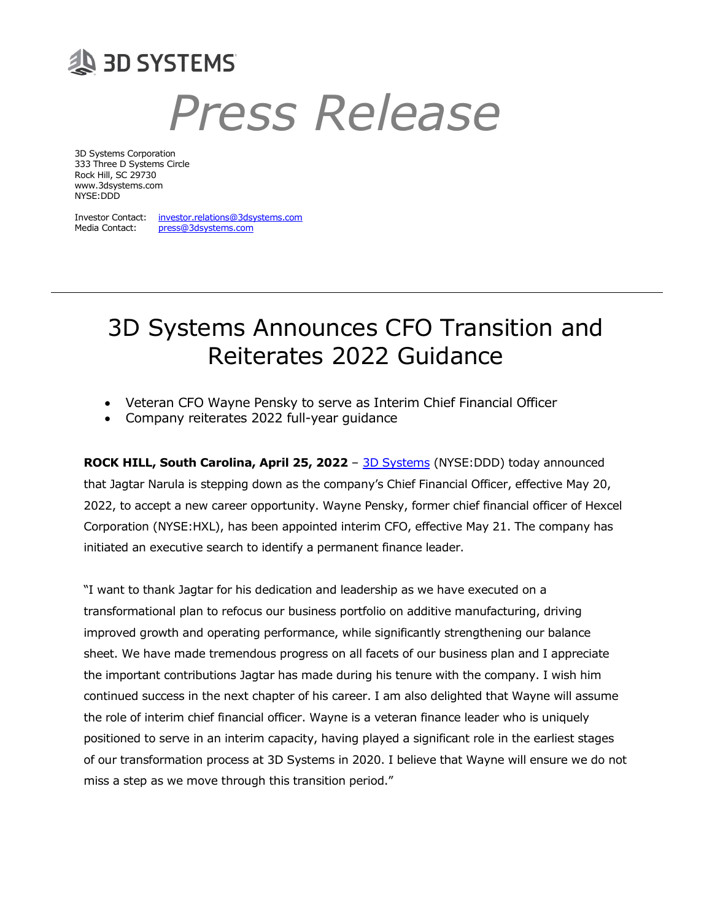

# Press Release

3D Systems Corporation 333 Three D Systems Circle Rock Hill, SC 29730 www.3dsystems.com NYSE:DDD

Investor Contact: investor.relations@3dsystems.com Media Contact: press@3dsystems.com

## 3D Systems Announces CFO Transition and Reiterates 2022 Guidance

- Veteran CFO Wayne Pensky to serve as Interim Chief Financial Officer
- Company reiterates 2022 full-year guidance

ROCK HILL, South Carolina, April 25, 2022 - 3D Systems (NYSE:DDD) today announced that Jagtar Narula is stepping down as the company's Chief Financial Officer, effective May 20, 2022, to accept a new career opportunity. Wayne Pensky, former chief financial officer of Hexcel Corporation (NYSE:HXL), has been appointed interim CFO, effective May 21. The company has initiated an executive search to identify a permanent finance leader.

"I want to thank Jagtar for his dedication and leadership as we have executed on a transformational plan to refocus our business portfolio on additive manufacturing, driving improved growth and operating performance, while significantly strengthening our balance sheet. We have made tremendous progress on all facets of our business plan and I appreciate the important contributions Jagtar has made during his tenure with the company. I wish him continued success in the next chapter of his career. I am also delighted that Wayne will assume the role of interim chief financial officer. Wayne is a veteran finance leader who is uniquely positioned to serve in an interim capacity, having played a significant role in the earliest stages of our transformation process at 3D Systems in 2020. I believe that Wayne will ensure we do not miss a step as we move through this transition period."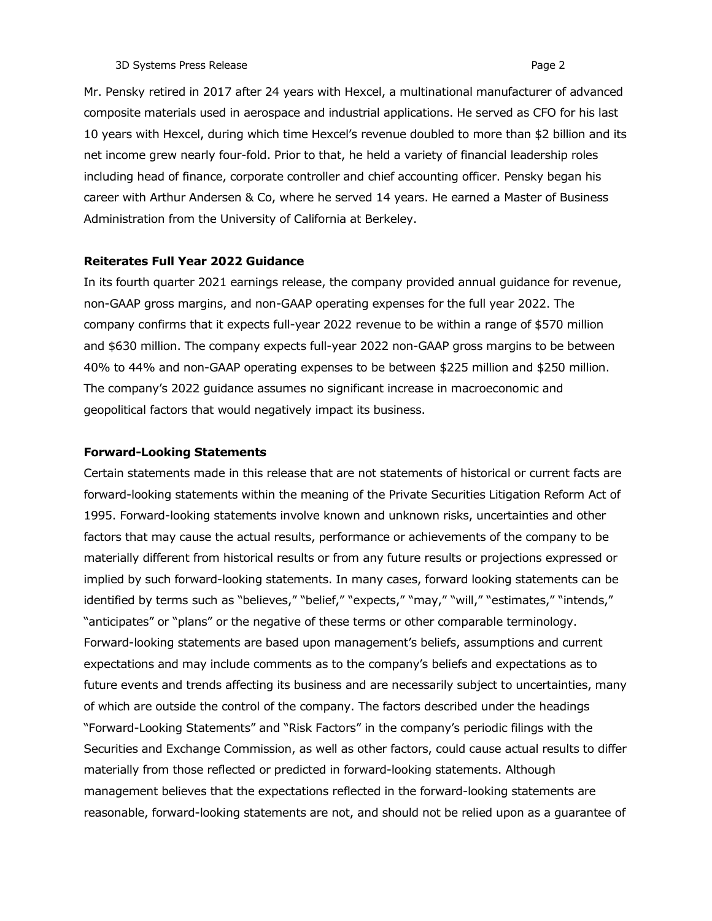Mr. Pensky retired in 2017 after 24 years with Hexcel, a multinational manufacturer of advanced composite materials used in aerospace and industrial applications. He served as CFO for his last 10 years with Hexcel, during which time Hexcel's revenue doubled to more than \$2 billion and its net income grew nearly four-fold. Prior to that, he held a variety of financial leadership roles including head of finance, corporate controller and chief accounting officer. Pensky began his career with Arthur Andersen & Co, where he served 14 years. He earned a Master of Business Administration from the University of California at Berkeley.

#### Reiterates Full Year 2022 Guidance

In its fourth quarter 2021 earnings release, the company provided annual guidance for revenue, non-GAAP gross margins, and non-GAAP operating expenses for the full year 2022. The company confirms that it expects full-year 2022 revenue to be within a range of \$570 million and \$630 million. The company expects full-year 2022 non-GAAP gross margins to be between 40% to 44% and non-GAAP operating expenses to be between \$225 million and \$250 million. The company's 2022 guidance assumes no significant increase in macroeconomic and geopolitical factors that would negatively impact its business.

#### Forward-Looking Statements

Certain statements made in this release that are not statements of historical or current facts are forward-looking statements within the meaning of the Private Securities Litigation Reform Act of 1995. Forward-looking statements involve known and unknown risks, uncertainties and other factors that may cause the actual results, performance or achievements of the company to be materially different from historical results or from any future results or projections expressed or implied by such forward-looking statements. In many cases, forward looking statements can be identified by terms such as "believes," "belief," "expects," "may," "will," "estimates," "intends," "anticipates" or "plans" or the negative of these terms or other comparable terminology. Forward-looking statements are based upon management's beliefs, assumptions and current expectations and may include comments as to the company's beliefs and expectations as to future events and trends affecting its business and are necessarily subject to uncertainties, many of which are outside the control of the company. The factors described under the headings "Forward-Looking Statements" and "Risk Factors" in the company's periodic filings with the Securities and Exchange Commission, as well as other factors, could cause actual results to differ materially from those reflected or predicted in forward-looking statements. Although management believes that the expectations reflected in the forward-looking statements are reasonable, forward-looking statements are not, and should not be relied upon as a guarantee of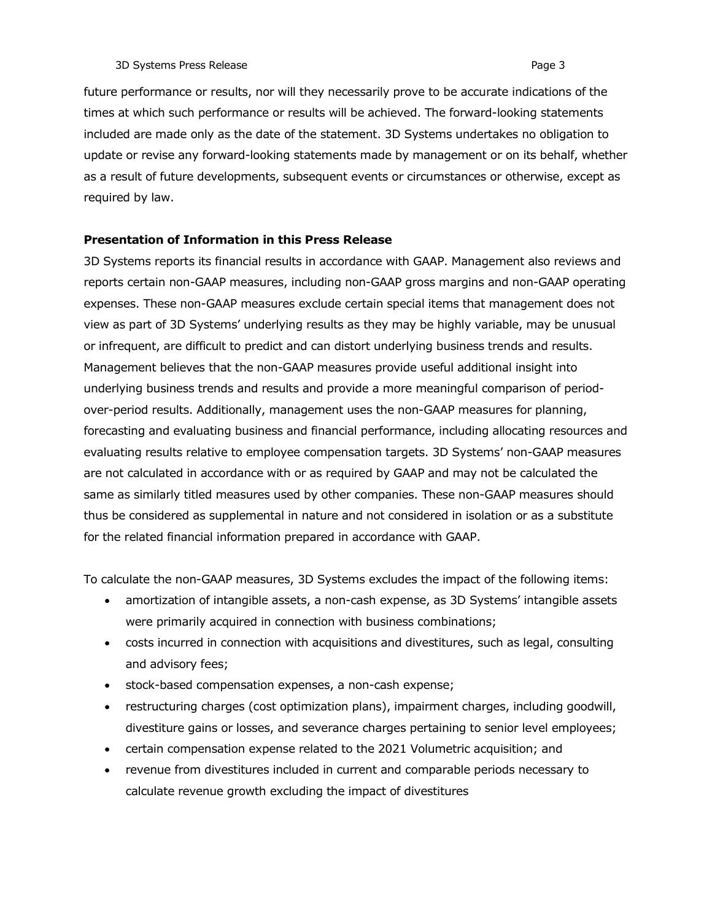future performance or results, nor will they necessarily prove to be accurate indications of the times at which such performance or results will be achieved. The forward-looking statements included are made only as the date of the statement. 3D Systems undertakes no obligation to update or revise any forward-looking statements made by management or on its behalf, whether as a result of future developments, subsequent events or circumstances or otherwise, except as required by law.

### Presentation of Information in this Press Release

3D Systems reports its financial results in accordance with GAAP. Management also reviews and reports certain non-GAAP measures, including non-GAAP gross margins and non-GAAP operating expenses. These non-GAAP measures exclude certain special items that management does not view as part of 3D Systems' underlying results as they may be highly variable, may be unusual or infrequent, are difficult to predict and can distort underlying business trends and results. Management believes that the non-GAAP measures provide useful additional insight into underlying business trends and results and provide a more meaningful comparison of periodover-period results. Additionally, management uses the non-GAAP measures for planning, forecasting and evaluating business and financial performance, including allocating resources and evaluating results relative to employee compensation targets. 3D Systems' non-GAAP measures are not calculated in accordance with or as required by GAAP and may not be calculated the same as similarly titled measures used by other companies. These non-GAAP measures should thus be considered as supplemental in nature and not considered in isolation or as a substitute for the related financial information prepared in accordance with GAAP.

To calculate the non-GAAP measures, 3D Systems excludes the impact of the following items:

- amortization of intangible assets, a non-cash expense, as 3D Systems' intangible assets were primarily acquired in connection with business combinations;
- costs incurred in connection with acquisitions and divestitures, such as legal, consulting and advisory fees;
- stock-based compensation expenses, a non-cash expense;
- restructuring charges (cost optimization plans), impairment charges, including goodwill, divestiture gains or losses, and severance charges pertaining to senior level employees;
- certain compensation expense related to the 2021 Volumetric acquisition; and
- revenue from divestitures included in current and comparable periods necessary to calculate revenue growth excluding the impact of divestitures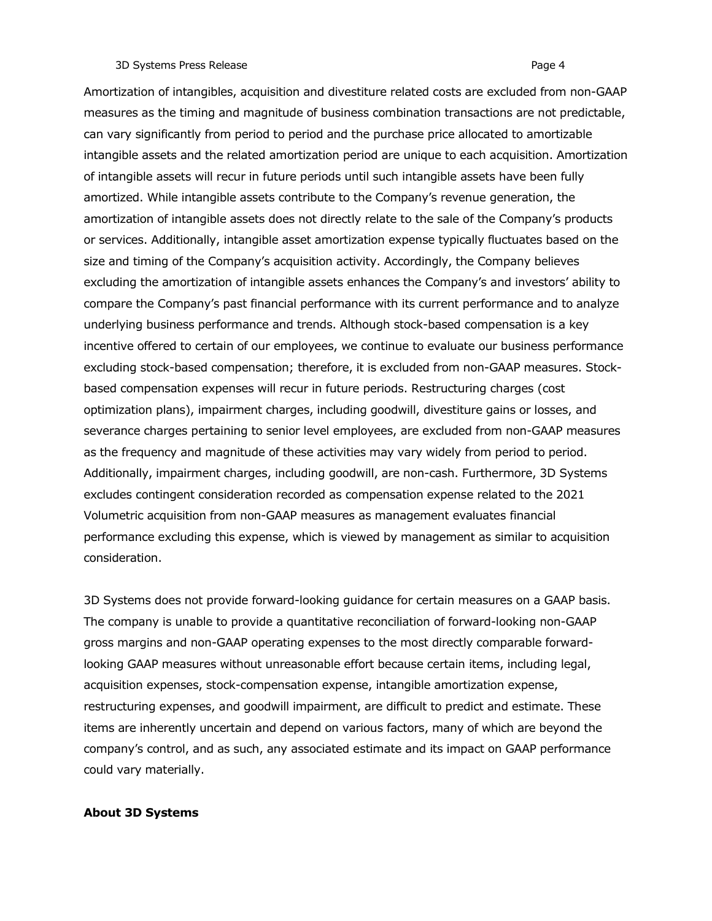#### 3D Systems Press Release **Page 4** and the system of the system of the system of the system of the system of the system of the system of the system of the system of the system of the system of the system of the system of th

Amortization of intangibles, acquisition and divestiture related costs are excluded from non-GAAP measures as the timing and magnitude of business combination transactions are not predictable, can vary significantly from period to period and the purchase price allocated to amortizable intangible assets and the related amortization period are unique to each acquisition. Amortization of intangible assets will recur in future periods until such intangible assets have been fully amortized. While intangible assets contribute to the Company's revenue generation, the amortization of intangible assets does not directly relate to the sale of the Company's products or services. Additionally, intangible asset amortization expense typically fluctuates based on the size and timing of the Company's acquisition activity. Accordingly, the Company believes excluding the amortization of intangible assets enhances the Company's and investors' ability to compare the Company's past financial performance with its current performance and to analyze underlying business performance and trends. Although stock-based compensation is a key incentive offered to certain of our employees, we continue to evaluate our business performance excluding stock-based compensation; therefore, it is excluded from non-GAAP measures. Stockbased compensation expenses will recur in future periods. Restructuring charges (cost optimization plans), impairment charges, including goodwill, divestiture gains or losses, and severance charges pertaining to senior level employees, are excluded from non-GAAP measures as the frequency and magnitude of these activities may vary widely from period to period. Additionally, impairment charges, including goodwill, are non-cash. Furthermore, 3D Systems excludes contingent consideration recorded as compensation expense related to the 2021 Volumetric acquisition from non-GAAP measures as management evaluates financial performance excluding this expense, which is viewed by management as similar to acquisition consideration.

3D Systems does not provide forward-looking guidance for certain measures on a GAAP basis. The company is unable to provide a quantitative reconciliation of forward-looking non-GAAP gross margins and non-GAAP operating expenses to the most directly comparable forwardlooking GAAP measures without unreasonable effort because certain items, including legal, acquisition expenses, stock-compensation expense, intangible amortization expense, restructuring expenses, and goodwill impairment, are difficult to predict and estimate. These items are inherently uncertain and depend on various factors, many of which are beyond the company's control, and as such, any associated estimate and its impact on GAAP performance could vary materially.

## About 3D Systems